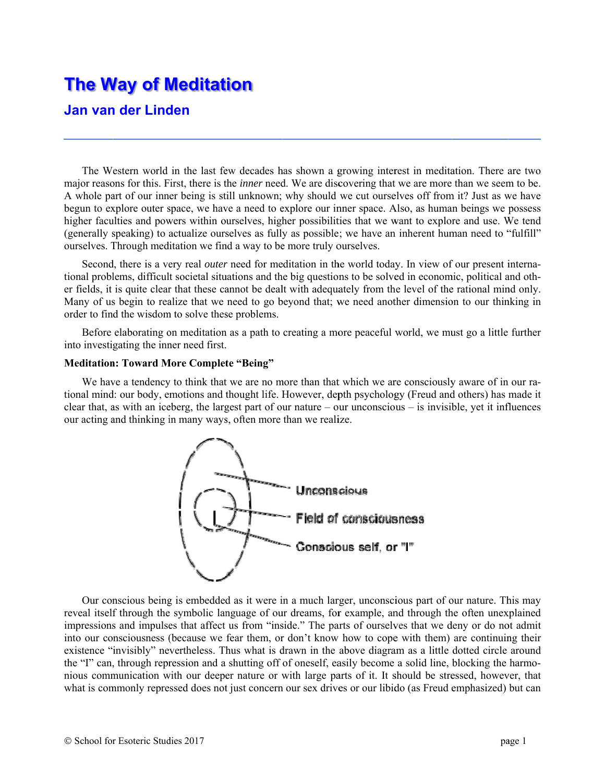# **The W Way of M Meditat ion**

# **Jan van der Linden**

The Western world in the last few decades has shown a growing interest in meditation. There are two major reasons for this. First, there is the *inner* need. We are discovering that we are more than we seem to be. A whole part of our inner being is still unknown; why should we cut ourselves off from it? Just as we have begun to explore outer space, we have a need to explore our inner space. Also, as human beings we possess higher faculties and powers within ourselves, higher possibilities that we want to explore and use. We tend (generally speaking) to actualize ourselves as fully as possible; we have an inherent human need to "fulfill" ourselves. Through meditation we find a way to be more truly ourselves.

Second, there is a very real *outer* need for meditation in the world today. In view of our present international problems, difficult societal situations and the big questions to be solved in economic, political and other fields, it is quite clear that these cannot be dealt with adequately from the level of the rational mind only. Many of us begin to realize that we need to go beyond that; we need another dimension to our thinking in order to find the wisdom to solve these problems.

Before elaborating on meditation as a path to creating a more peaceful world, we must go a little further into investigating the inner need first.

## **Meditation: Toward More Complete "Being"**

We have a tendency to think that we are no more than that which we are consciously aware of in our rational mind: our body, emotions and thought life. However, depth psychology (Freud and others) has made it clear that, as with an iceberg, the largest part of our nature – our unconscious – is invisible, yet it influences our acting and thinking in many ways, often more than we realize.



Our conscious being is embedded as it were in a much larger, unconscious part of our nature. This may reveal itself through the symbolic language of our dreams, for example, and through the often unexplained impressions and impulses that affect us from "inside." The parts of ourselves that we deny or do not admit into our consciousness (because we fear them, or don't know how to cope with them) are continuing their existence "invisibly" nevertheless. Thus what is drawn in the above diagram as a little dotted circle around the "I" can, through repression and a shutting off of oneself, easily become a solid line, blocking the harmonious communication with our deeper nature or with large parts of it. It should be stressed, however, that what is commonly repressed does not just concern our sex drives or our libido (as Freud emphasized) but can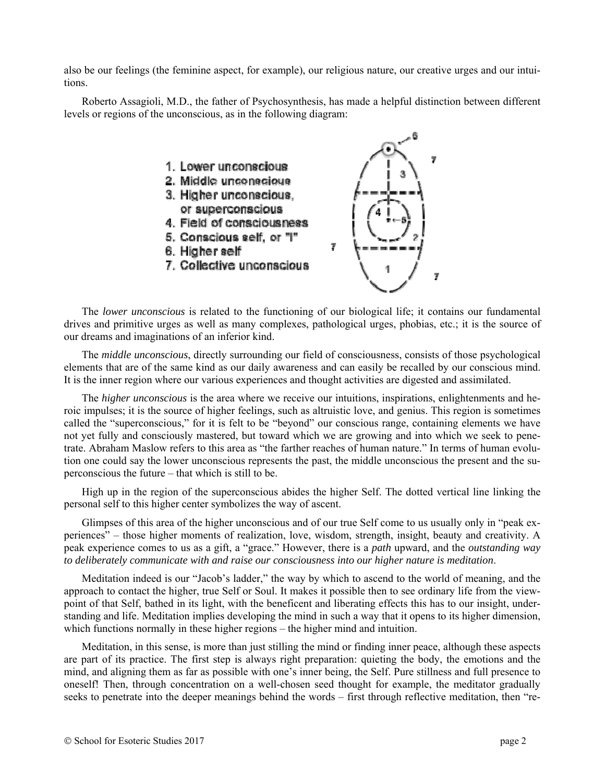also be our feelings (the feminine aspect, for example), our religious nature, our creative urges and our intuitions.

Roberto Assagioli, M.D., the father of Psychosynthesis, has made a helpful distinction between different levels or regions of the unconscious, as in the following diagram:



The *lower unconscious* is related to the functioning of our biological life; it contains our fundamental drives and primitive urges as well as many complexes, pathological urges, phobias, etc.; it is the source of our dreams and imaginations of an inferior kind.

The *middle unconscious*, directly surrounding our field of consciousness, consists of those psychological elements that are of the same kind as our daily awareness and can easily be recalled by our conscious mind. It is the inner region where our various experiences and thought activities are digested and assimilated.

The *higher unconscious* is the area where we receive our intuitions, inspirations, enlightenments and heroic impulses; it is the source of higher feelings, such as altruistic love, and genius. This region is sometimes called the "superconscious," for it is felt to be "beyond" our conscious range, containing elements we have not yet fully and consciously mastered, but toward which we are growing and into which we seek to penetrate. Abraham Maslow refers to this area as "the farther reaches of human nature." In terms of human evolution one could say the lower unconscious represents the past, the middle unconscious the present and the superconscious the future – that which is still to be.

High up in the region of the superconscious abides the higher Self. The dotted vertical line linking the personal self to this higher center symbolizes the way of ascent.

Glimpses of this area of the higher unconscious and of our true Self come to us usually only in "peak experiences" – those higher moments of realization, love, wisdom, strength, insight, beauty and creativity. A peak experience comes to us as a gift, a "grace." However, there is a *path* upward, and the *outstanding way to deliberately communicate with and raise our consciousness into our higher nature is meditation*.

Meditation indeed is our "Jacob's ladder," the way by which to ascend to the world of meaning, and the approach to contact the higher, true Self or Soul. It makes it possible then to see ordinary life from the viewpoint of that Self, bathed in its light, with the beneficent and liberating effects this has to our insight, understanding and life. Meditation implies developing the mind in such a way that it opens to its higher dimension, which functions normally in these higher regions – the higher mind and intuition.

Meditation, in this sense, is more than just stilling the mind or finding inner peace, although these aspects are part of its practice. The first step is always right preparation: quieting the body, the emotions and the mind, and aligning them as far as possible with one's inner being, the Self. Pure stillness and full presence to oneself! Then, through concentration on a well-chosen seed thought for example, the meditator gradually seeks to penetrate into the deeper meanings behind the words – first through reflective meditation, then "re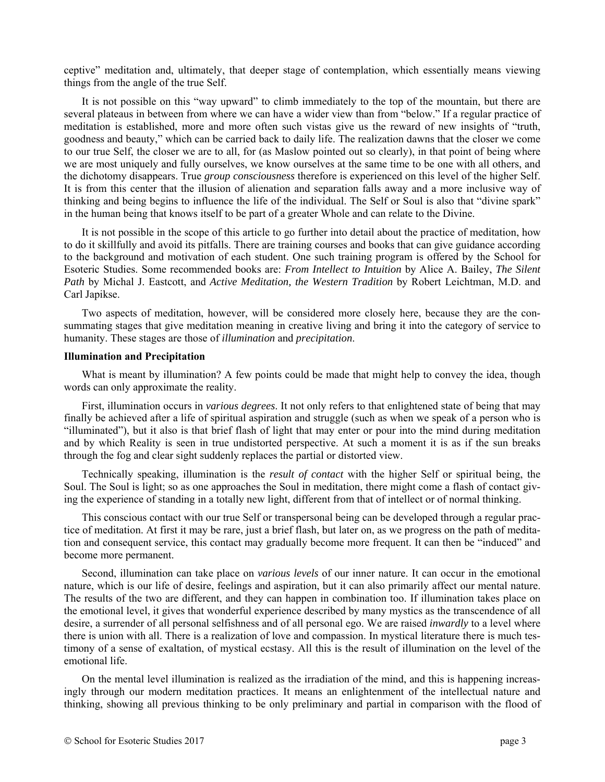ceptive" meditation and, ultimately, that deeper stage of contemplation, which essentially means viewing things from the angle of the true Self.

It is not possible on this "way upward" to climb immediately to the top of the mountain, but there are several plateaus in between from where we can have a wider view than from "below." If a regular practice of meditation is established, more and more often such vistas give us the reward of new insights of "truth, goodness and beauty," which can be carried back to daily life. The realization dawns that the closer we come to our true Self, the closer we are to all, for (as Maslow pointed out so clearly), in that point of being where we are most uniquely and fully ourselves, we know ourselves at the same time to be one with all others, and the dichotomy disappears. True *group consciousness* therefore is experienced on this level of the higher Self. It is from this center that the illusion of alienation and separation falls away and a more inclusive way of thinking and being begins to influence the life of the individual. The Self or Soul is also that "divine spark" in the human being that knows itself to be part of a greater Whole and can relate to the Divine.

It is not possible in the scope of this article to go further into detail about the practice of meditation, how to do it skillfully and avoid its pitfalls. There are training courses and books that can give guidance according to the background and motivation of each student. One such training program is offered by the School for Esoteric Studies. Some recommended books are: *From Intellect to Intuition* by Alice A. Bailey, *The Silent Path* by Michal J. Eastcott, and *Active Meditation, the Western Tradition* by Robert Leichtman, M.D. and Carl Japikse.

Two aspects of meditation, however, will be considered more closely here, because they are the consummating stages that give meditation meaning in creative living and bring it into the category of service to humanity. These stages are those of *illumination* and *precipitation*.

#### **Illumination and Precipitation**

What is meant by illumination? A few points could be made that might help to convey the idea, though words can only approximate the reality.

First, illumination occurs in *various degrees*. It not only refers to that enlightened state of being that may finally be achieved after a life of spiritual aspiration and struggle (such as when we speak of a person who is "illuminated"), but it also is that brief flash of light that may enter or pour into the mind during meditation and by which Reality is seen in true undistorted perspective. At such a moment it is as if the sun breaks through the fog and clear sight suddenly replaces the partial or distorted view.

Technically speaking, illumination is the *result of contact* with the higher Self or spiritual being, the Soul. The Soul is light; so as one approaches the Soul in meditation, there might come a flash of contact giving the experience of standing in a totally new light, different from that of intellect or of normal thinking.

This conscious contact with our true Self or transpersonal being can be developed through a regular practice of meditation. At first it may be rare, just a brief flash, but later on, as we progress on the path of meditation and consequent service, this contact may gradually become more frequent. It can then be "induced" and become more permanent.

Second, illumination can take place on *various levels* of our inner nature. It can occur in the emotional nature, which is our life of desire, feelings and aspiration, but it can also primarily affect our mental nature. The results of the two are different, and they can happen in combination too. If illumination takes place on the emotional level, it gives that wonderful experience described by many mystics as the transcendence of all desire, a surrender of all personal selfishness and of all personal ego. We are raised *inwardly* to a level where there is union with all. There is a realization of love and compassion. In mystical literature there is much testimony of a sense of exaltation, of mystical ecstasy. All this is the result of illumination on the level of the emotional life.

On the mental level illumination is realized as the irradiation of the mind, and this is happening increasingly through our modern meditation practices. It means an enlightenment of the intellectual nature and thinking, showing all previous thinking to be only preliminary and partial in comparison with the flood of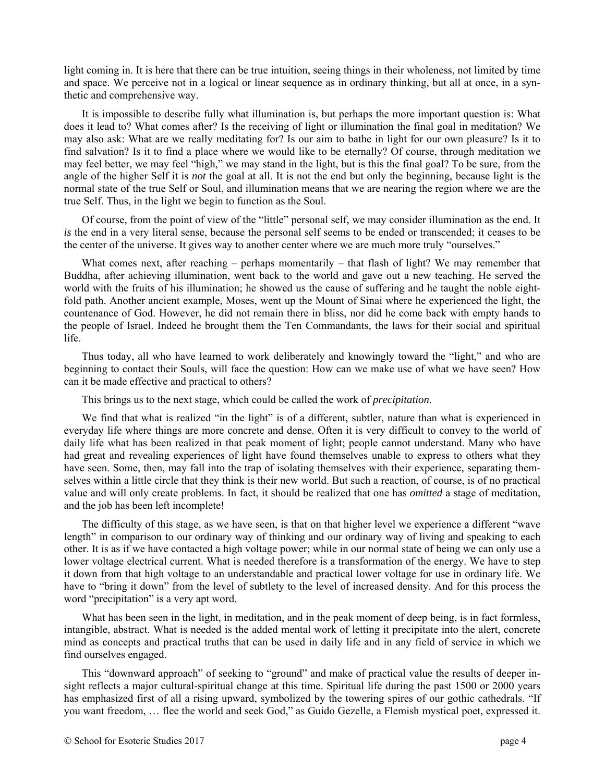light coming in. It is here that there can be true intuition, seeing things in their wholeness, not limited by time and space. We perceive not in a logical or linear sequence as in ordinary thinking, but all at once, in a synthetic and comprehensive way.

It is impossible to describe fully what illumination is, but perhaps the more important question is: What does it lead to? What comes after? Is the receiving of light or illumination the final goal in meditation? We may also ask: What are we really meditating for? Is our aim to bathe in light for our own pleasure? Is it to find salvation? Is it to find a place where we would like to be eternally? Of course, through meditation we may feel better, we may feel "high," we may stand in the light, but is this the final goal? To be sure, from the angle of the higher Self it is *not* the goal at all. It is not the end but only the beginning, because light is the normal state of the true Self or Soul, and illumination means that we are nearing the region where we are the true Self. Thus, in the light we begin to function as the Soul.

Of course, from the point of view of the "little" personal self, we may consider illumination as the end. It *is* the end in a very literal sense, because the personal self seems to be ended or transcended; it ceases to be the center of the universe. It gives way to another center where we are much more truly "ourselves."

What comes next, after reaching – perhaps momentarily – that flash of light? We may remember that Buddha, after achieving illumination, went back to the world and gave out a new teaching. He served the world with the fruits of his illumination; he showed us the cause of suffering and he taught the noble eightfold path. Another ancient example, Moses, went up the Mount of Sinai where he experienced the light, the countenance of God. However, he did not remain there in bliss, nor did he come back with empty hands to the people of Israel. Indeed he brought them the Ten Commandants, the laws for their social and spiritual life.

Thus today, all who have learned to work deliberately and knowingly toward the "light," and who are beginning to contact their Souls, will face the question: How can we make use of what we have seen? How can it be made effective and practical to others?

This brings us to the next stage, which could be called the work of *precipitation*.

We find that what is realized "in the light" is of a different, subtler, nature than what is experienced in everyday life where things are more concrete and dense. Often it is very difficult to convey to the world of daily life what has been realized in that peak moment of light; people cannot understand. Many who have had great and revealing experiences of light have found themselves unable to express to others what they have seen. Some, then, may fall into the trap of isolating themselves with their experience, separating themselves within a little circle that they think is their new world. But such a reaction, of course, is of no practical value and will only create problems. In fact, it should be realized that one has *omitted* a stage of meditation, and the job has been left incomplete!

The difficulty of this stage, as we have seen, is that on that higher level we experience a different "wave length" in comparison to our ordinary way of thinking and our ordinary way of living and speaking to each other. It is as if we have contacted a high voltage power; while in our normal state of being we can only use a lower voltage electrical current. What is needed therefore is a transformation of the energy. We have to step it down from that high voltage to an understandable and practical lower voltage for use in ordinary life. We have to "bring it down" from the level of subtlety to the level of increased density. And for this process the word "precipitation" is a very apt word.

What has been seen in the light, in meditation, and in the peak moment of deep being, is in fact formless, intangible, abstract. What is needed is the added mental work of letting it precipitate into the alert, concrete mind as concepts and practical truths that can be used in daily life and in any field of service in which we find ourselves engaged.

This "downward approach" of seeking to "ground" and make of practical value the results of deeper insight reflects a major cultural-spiritual change at this time. Spiritual life during the past 1500 or 2000 years has emphasized first of all a rising upward, symbolized by the towering spires of our gothic cathedrals. "If you want freedom, … flee the world and seek God," as Guido Gezelle, a Flemish mystical poet, expressed it.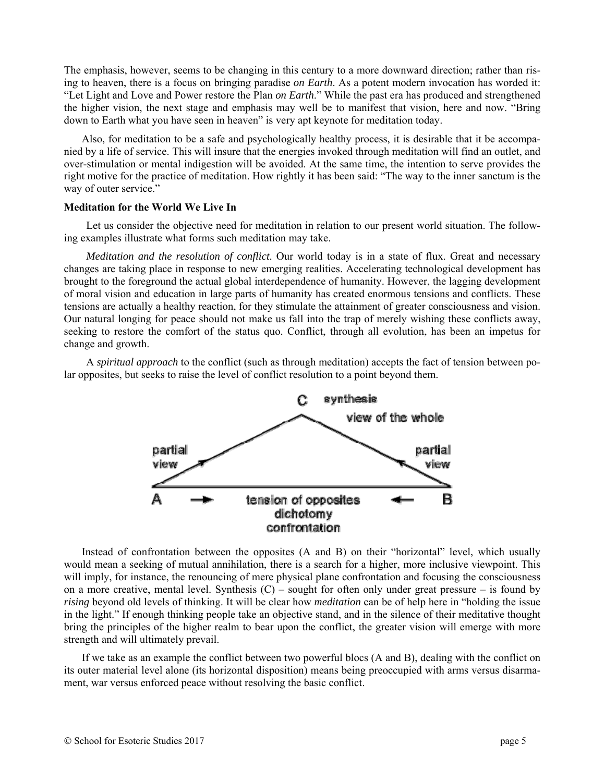The emphasis, however, seems to be changing in this century to a more downward direction; rather than rising to heaven, there is a focus on bringing paradise *on Earth*. As a potent modern invocation has worded it: "Let Light and Love and Power restore the Plan *on Earth*." While the past era has produced and strengthened the higher vision, the next stage and emphasis may well be to manifest that vision, here and now. "Bring down to Earth what you have seen in heaven" is very apt keynote for meditation today.

Also, for meditation to be a safe and psychologically healthy process, it is desirable that it be accompanied by a life of service. This will insure that the energies invoked through meditation will find an outlet, and over-stimulation or mental indigestion will be avoided. At the same time, the intention to serve provides the right motive for the practice of meditation. How rightly it has been said: "The way to the inner sanctum is the way of outer service."

### **Meditation for the World We Live In**

Let us consider the objective need for meditation in relation to our present world situation. The following examples illustrate what forms such meditation may take.

*Meditation and the resolution of conflict*. Our world today is in a state of flux. Great and necessary changes are taking place in response to new emerging realities. Accelerating technological development has brought to the foreground the actual global interdependence of humanity. However, the lagging development of moral vision and education in large parts of humanity has created enormous tensions and conflicts. These tensions are actually a healthy reaction, for they stimulate the attainment of greater consciousness and vision. Our natural longing for peace should not make us fall into the trap of merely wishing these conflicts away, seeking to restore the comfort of the status quo. Conflict, through all evolution, has been an impetus for change and growth.

A *spiritual approach* to the conflict (such as through meditation) accepts the fact of tension between polar opposites, but seeks to raise the level of conflict resolution to a point beyond them.



Instead of confrontation between the opposites (A and B) on their "horizontal" level, which usually would mean a seeking of mutual annihilation, there is a search for a higher, more inclusive viewpoint. This will imply, for instance, the renouncing of mere physical plane confrontation and focusing the consciousness on a more creative, mental level. Synthesis  $(C)$  – sought for often only under great pressure – is found by *rising* beyond old levels of thinking. It will be clear how *meditation* can be of help here in "holding the issue in the light." If enough thinking people take an objective stand, and in the silence of their meditative thought bring the principles of the higher realm to bear upon the conflict, the greater vision will emerge with more strength and will ultimately prevail.

If we take as an example the conflict between two powerful blocs (A and B), dealing with the conflict on its outer material level alone (its horizontal disposition) means being preoccupied with arms versus disarmament, war versus enforced peace without resolving the basic conflict.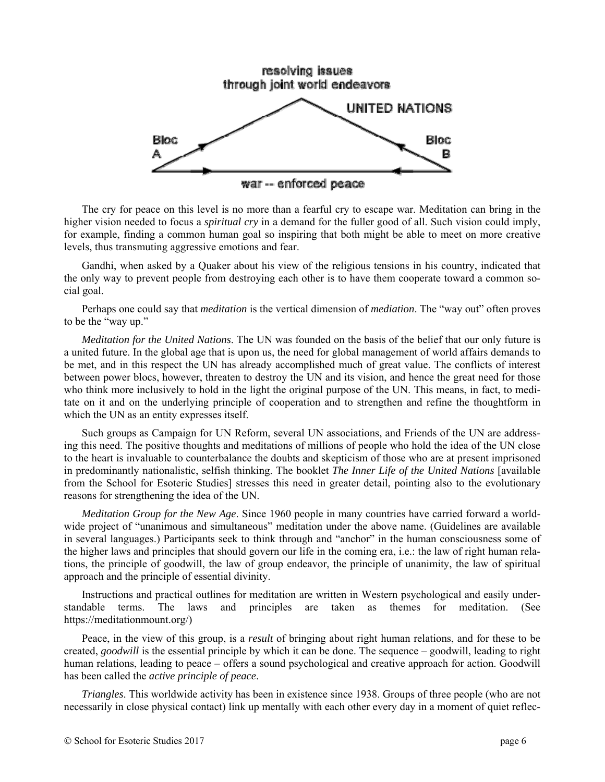

The cry for peace on this level is no more than a fearful cry to escape war. Meditation can bring in the higher vision needed to focus a *spiritual cry* in a demand for the fuller good of all. Such vision could imply, for example, finding a common human goal so inspiring that both might be able to meet on more creative levels, thus transmuting aggressive emotions and fear.

Gandhi, when asked by a Quaker about his view of the religious tensions in his country, indicated that the only way to prevent people from destroying each other is to have them cooperate toward a common social goal.

Perhaps one could say that *meditation* is the vertical dimension of *mediation*. The "way out" often proves to be the "way up."

*Meditation for the United Nations*. The UN was founded on the basis of the belief that our only future is a united future. In the global age that is upon us, the need for global management of world affairs demands to be met, and in this respect the UN has already accomplished much of great value. The conflicts of interest between power blocs, however, threaten to destroy the UN and its vision, and hence the great need for those who think more inclusively to hold in the light the original purpose of the UN. This means, in fact, to meditate on it and on the underlying principle of cooperation and to strengthen and refine the thoughtform in which the UN as an entity expresses itself.

Such groups as Campaign for UN Reform, several UN associations, and Friends of the UN are addressing this need. The positive thoughts and meditations of millions of people who hold the idea of the UN close to the heart is invaluable to counterbalance the doubts and skepticism of those who are at present imprisoned in predominantly nationalistic, selfish thinking. The booklet *The Inner Life of the United Nations* [available from the School for Esoteric Studies] stresses this need in greater detail, pointing also to the evolutionary reasons for strengthening the idea of the UN.

*Meditation Group for the New Age*. Since 1960 people in many countries have carried forward a worldwide project of "unanimous and simultaneous" meditation under the above name. (Guidelines are available in several languages.) Participants seek to think through and "anchor" in the human consciousness some of the higher laws and principles that should govern our life in the coming era, i.e.: the law of right human relations, the principle of goodwill, the law of group endeavor, the principle of unanimity, the law of spiritual approach and the principle of essential divinity.

Instructions and practical outlines for meditation are written in Western psychological and easily understandable terms. The laws and principles are taken as themes for meditation. (See https://meditationmount.org/)

Peace, in the view of this group, is a *result* of bringing about right human relations, and for these to be created, *goodwill* is the essential principle by which it can be done. The sequence – goodwill, leading to right human relations, leading to peace – offers a sound psychological and creative approach for action. Goodwill has been called the *active principle of peace*.

*Triangles*. This worldwide activity has been in existence since 1938. Groups of three people (who are not necessarily in close physical contact) link up mentally with each other every day in a moment of quiet reflec